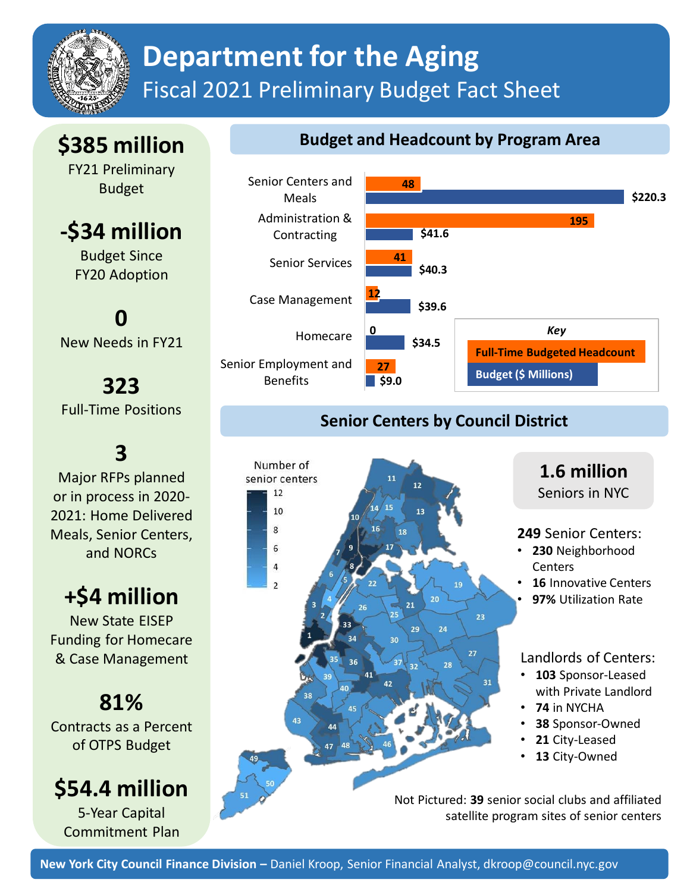

## **Department for the Aging** Fiscal 2021 Preliminary Budget Fact Sheet

### **\$385 million**

FY21 Preliminary Budget

**-\$34 million**

Budget Since FY20 Adoption

**0** New Needs in FY21

**323** Full-Time Positions

**3**

Major RFPs planned or in process in 2020- 2021: Home Delivered Meals, Senior Centers, and NORCs

### **+\$4 million**

New State EISEP Funding for Homecare & Case Management

# **81%**

Contracts as a Percent of OTPS Budget

### **\$54.4 million**

5-Year Capital Commitment Plan

#### **Budget and Headcount by Program Area**



#### **Senior Centers by Council District**



**1.6 million**  Seniors in NYC

#### **249** Senior Centers:

- **230** Neighborhood **Centers**
- **16** Innovative Centers
- **97%** Utilization Rate

#### Landlords of Centers:

- **103** Sponsor-Leased with Private Landlord
- **74** in NYCHA
- **38** Sponsor-Owned
- **21** City-Leased
- 13 City-Owned

Not Pictured: **39** senior social clubs and affiliated satellite program sites of senior centers